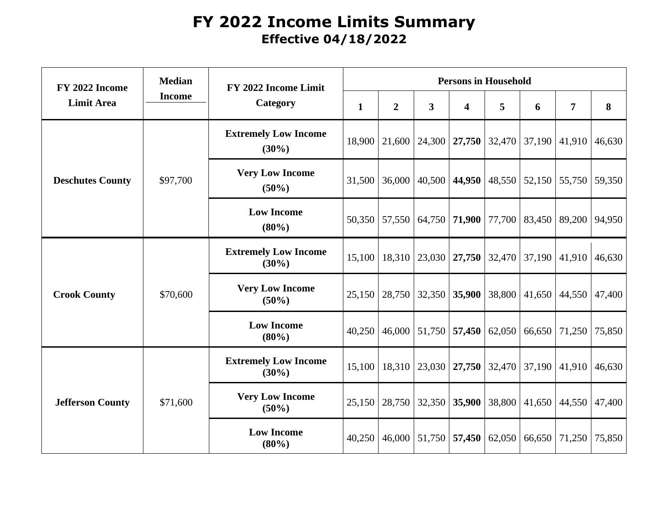## **FY 2022 Income Limits Summary Effective 04/18/2022**

| FY 2022 Income<br><b>Limit Area</b> | <b>Median</b><br><b>Income</b> | FY 2022 Income Limit<br>Category        | <b>Persons in Household</b> |                |                                   |                         |        |                 |                     |        |
|-------------------------------------|--------------------------------|-----------------------------------------|-----------------------------|----------------|-----------------------------------|-------------------------|--------|-----------------|---------------------|--------|
|                                     |                                |                                         | $\mathbf{1}$                | $\overline{2}$ | $\mathbf{3}$                      | $\overline{\mathbf{4}}$ | 5      | 6               | $\overline{7}$      | 8      |
| <b>Deschutes County</b>             | \$97,700                       | <b>Extremely Low Income</b><br>$(30\%)$ | 18,900                      | 21,600         | 24,300                            | 27,750                  | 32,470 | 37,190          | 41,910              | 46,630 |
|                                     |                                | <b>Very Low Income</b><br>$(50\%)$      | 31,500                      | 36,000         | 40,500                            | 44,950                  |        | $48,550$ 52,150 | 55,750              | 59,350 |
|                                     |                                | <b>Low Income</b><br>$(80\%)$           | 50,350                      | 57,550         |                                   | 64,750 71,900           | 77,700 |                 | 83,450   89,200     | 94,950 |
| <b>Crook County</b>                 | \$70,600                       | <b>Extremely Low Income</b><br>$(30\%)$ | 15,100                      | 18,310         | $\vert 23,030 \vert 27,750 \vert$ |                         | 32,470 | 37,190          | 41,910              | 46,630 |
|                                     |                                | <b>Very Low Income</b><br>$(50\%)$      | 25,150                      | 28,750         | 32,350                            | 35,900                  | 38,800 |                 | $41,650$ 44,550     | 47,400 |
|                                     |                                | <b>Low Income</b><br>$(80\%)$           | 40,250                      | 46,000         | 51,750                            | 57,450                  | 62,050 | 66,650          | 71,250              | 75,850 |
| <b>Jefferson County</b>             | \$71,600                       | <b>Extremely Low Income</b><br>$(30\%)$ | 15,100                      | 18,310         | $23,030$ $27,750$                 |                         |        | $32,470$ 37,190 | 41,910              | 46,630 |
|                                     |                                | <b>Very Low Income</b><br>$(50\%)$      | 25,150                      | 28,750         | 32,350                            | 35,900                  | 38,800 |                 | $41,650$   $44,550$ | 47,400 |
|                                     |                                | <b>Low Income</b><br>(80%)              | 40,250                      | 46,000         | 51,750                            | 57,450                  | 62,050 | 66,650          | 71,250              | 75,850 |